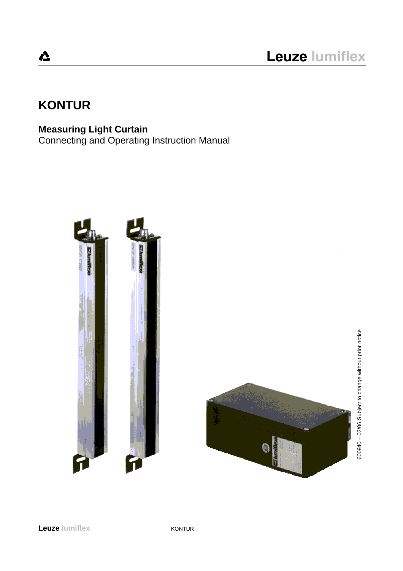# **KONTUR**

## **Measuring Light Curtain**

Connecting and Operating Instruction Manual



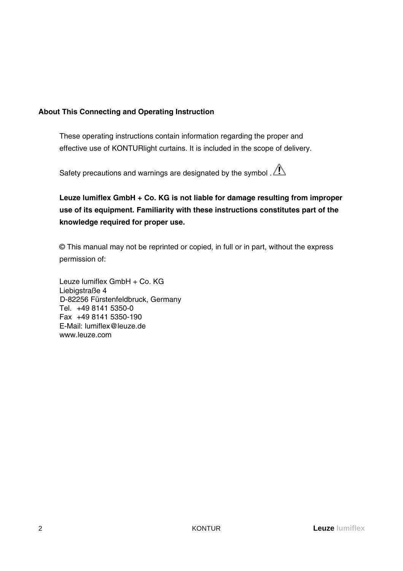### **About This Connecting and Operating Instruction**

These operating instructions contain information regarding the proper and effective use of KONTURlight curtains. It is included in the scope of delivery.

Safety precautions and warnings are designated by the symbol .  $\bigwedge$ 

**Leuze lumiflex GmbH + Co. KG is not liable for damage resulting from improper use of its equipment. Familiarity with these instructions constitutes part of the knowledge required for proper use.**

© This manual may not be reprinted or copied, in full or in part, without the express permission of:

Leuze lumiflex GmbH + Co. KG Liebigstraße 4 D-82256 Fürstenfeldbruck, Germany Tel. +49 8141 5350-0 Fax +49 8141 5350-190 E-Mail: lumiflex@leuze.de www.leuze.com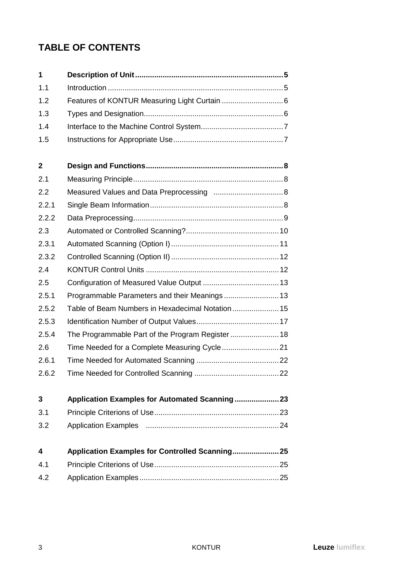## **TABLE OF CONTENTS**

| 1                       |                                                  |
|-------------------------|--------------------------------------------------|
| 1.1                     |                                                  |
| 1.2                     |                                                  |
| 1.3                     |                                                  |
| 1.4                     |                                                  |
| 1.5                     |                                                  |
| $\boldsymbol{2}$        |                                                  |
| 2.1                     |                                                  |
| 2.2                     |                                                  |
| 2.2.1                   |                                                  |
| 2.2.2                   |                                                  |
| 2.3                     |                                                  |
| 2.3.1                   |                                                  |
| 2.3.2                   |                                                  |
| 2.4                     |                                                  |
| 2.5                     |                                                  |
| 2.5.1                   | Programmable Parameters and their Meanings  13   |
| 2.5.2                   | Table of Beam Numbers in Hexadecimal Notation 15 |
| 2.5.3                   |                                                  |
| 2.5.4                   |                                                  |
| 2.6                     |                                                  |
| 2.6.1                   |                                                  |
| 2.6.2                   |                                                  |
| 3                       |                                                  |
| 3.1                     |                                                  |
| 3.2                     |                                                  |
| $\overline{\mathbf{4}}$ | Application Examples for Controlled Scanning 25  |
| 4.1                     |                                                  |
| 4.2                     |                                                  |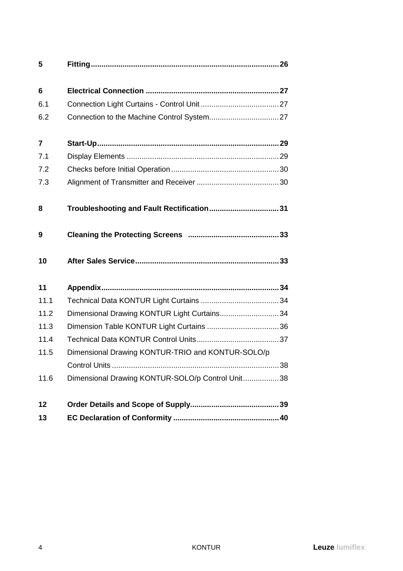| 5              |                                                   |  |
|----------------|---------------------------------------------------|--|
| 6              |                                                   |  |
|                |                                                   |  |
| 6.1            |                                                   |  |
| 6.2            |                                                   |  |
| $\overline{7}$ |                                                   |  |
| 7.1            |                                                   |  |
| 7.2            |                                                   |  |
| 7.3            |                                                   |  |
| 8              | Troubleshooting and Fault Rectification 31        |  |
| 9              |                                                   |  |
| 10             |                                                   |  |
| 11             |                                                   |  |
| 11.1           |                                                   |  |
| 11.2           | Dimensional Drawing KONTUR Light Curtains 34      |  |
| 11.3           |                                                   |  |
| 11.4           |                                                   |  |
| 11.5           | Dimensional Drawing KONTUR-TRIO and KONTUR-SOLO/p |  |
|                |                                                   |  |
| 11.6           | Dimensional Drawing KONTUR-SOLO/p Control Unit 38 |  |
| 12             |                                                   |  |
| 13             |                                                   |  |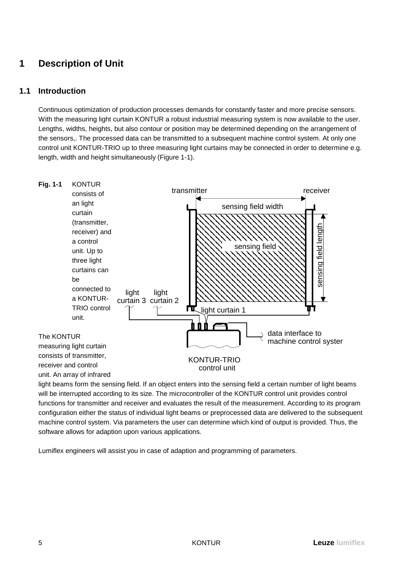## **1 Description of Unit**

## **1.1 Introduction**

Continuous optimization of production processes demands for constantly faster and more precise sensors. With the measuring light curtain KONTUR a robust industrial measuring system is now available to the user. Lengths, widths, heights, but also contour or position may be determined depending on the arrangement of the sensors,. The processed data can be transmitted to a subsequent machine control system. At only one control unit KONTUR-TRIO up to three measuring light curtains may be connected in order to determine e.g. length, width and height simultaneously (Figure 1-1).



light beams form the sensing field. If an object enters into the sensing field a certain number of light beams will be interrupted according to its size. The microcontroller of the KONTUR control unit provides control functions for transmitter and receiver and evaluates the result of the measurement. According to its program configuration either the status of individual light beams or preprocessed data are delivered to the subsequent machine control system. Via parameters the user can determine which kind of output is provided. Thus, the software allows for adaption upon various applications.

Lumiflex engineers will assist you in case of adaption and programming of parameters.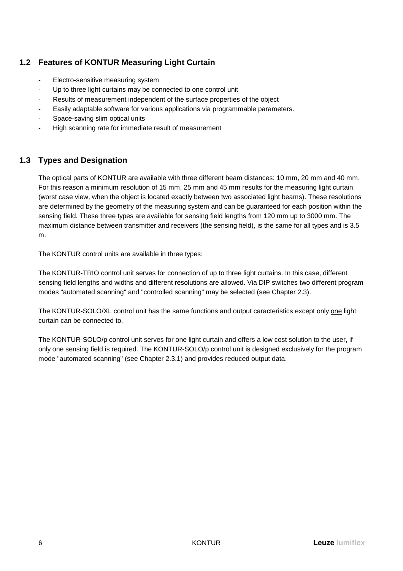## **1.2 Features of KONTUR Measuring Light Curtain**

- Electro-sensitive measuring system
- Up to three light curtains may be connected to one control unit
- Results of measurement independent of the surface properties of the object
- Easily adaptable software for various applications via programmable parameters.
- Space-saving slim optical units
- High scanning rate for immediate result of measurement

## **1.3 Types and Designation**

The optical parts of KONTUR are available with three different beam distances: 10 mm, 20 mm and 40 mm. For this reason a minimum resolution of 15 mm, 25 mm and 45 mm results for the measuring light curtain (worst case view, when the object is located exactly between two associated light beams). These resolutions are determined by the geometry of the measuring system and can be guaranteed for each position within the sensing field. These three types are available for sensing field lengths from 120 mm up to 3000 mm. The maximum distance between transmitter and receivers (the sensing field), is the same for all types and is 3.5 m.

The KONTUR control units are available in three types:

The KONTUR-TRIO control unit serves for connection of up to three light curtains. In this case, different sensing field lengths and widths and different resolutions are allowed. Via DIP switches two different program modes "automated scanning" and "controlled scanning" may be selected (see Chapter 2.3).

The KONTUR-SOLO/XL control unit has the same functions and output caracteristics except only one light curtain can be connected to.

The KONTUR-SOLO/p control unit serves for one light curtain and offers a low cost solution to the user, if only one sensing field is required. The KONTUR-SOLO/p control unit is designed exclusively for the program mode "automated scanning" (see Chapter 2.3.1) and provides reduced output data.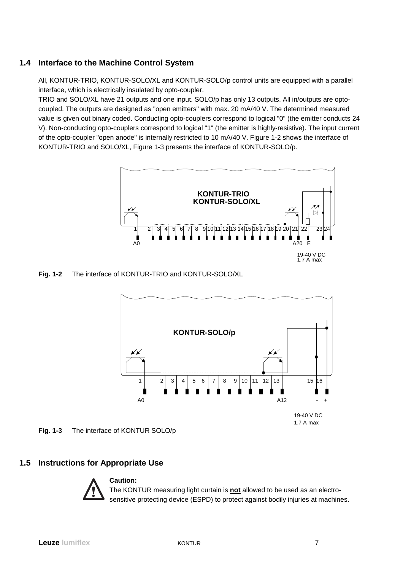## **1.4 Interface to the Machine Control System**

All, KONTUR-TRIO, KONTUR-SOLO/XL and KONTUR-SOLO/p control units are equipped with a parallel interface, which is electrically insulated by opto-coupler.

TRIO and SOLO/XL have 21 outputs and one input. SOLO/p has only 13 outputs. All in/outputs are optocoupled. The outputs are designed as "open emitters" with max. 20 mA/40 V. The determined measured value is given out binary coded. Conducting opto-couplers correspond to logical "0" (the emitter conducts 24 V). Non-conducting opto-couplers correspond to logical "1" (the emitter is highly-resistive). The input current of the opto-coupler "open anode" is internally restricted to 10 mA/40 V. Figure 1-2 shows the interface of KONTUR-TRIO and SOLO/XL, Figure 1-3 presents the interface of KONTUR-SOLO/p.



**Fig. 1-2** The interface of KONTUR-TRIO and KONTUR-SOLO/XL



### **1.5 Instructions for Appropriate Use**



The KONTUR measuring light curtain is **not** allowed to be used as an electrosensitive protecting device (ESPD) to protect against bodily injuries at machines.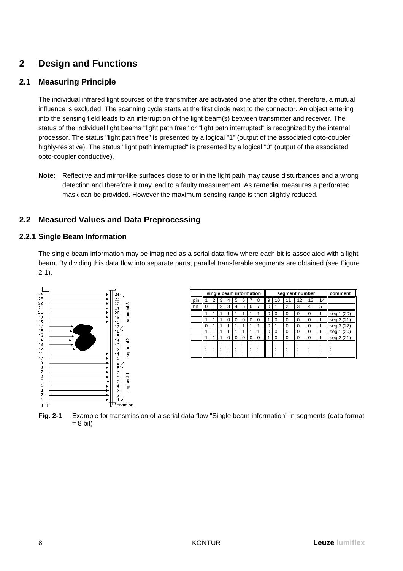## **2 Design and Functions**

## **2.1 Measuring Principle**

The individual infrared light sources of the transmitter are activated one after the other, therefore, a mutual influence is excluded. The scanning cycle starts at the first diode next to the connector. An object entering into the sensing field leads to an interruption of the light beam(s) between transmitter and receiver. The status of the individual light beams "light path free" or "light path interrupted" is recognized by the internal processor. The status "light path free" is presented by a logical "1" (output of the associated opto-coupler highly-resistive). The status "light path interrupted" is presented by a logical "0" (output of the associated opto-coupler conductive).

**Note:** Reflective and mirror-like surfaces close to or in the light path may cause disturbances and a wrong detection and therefore it may lead to a faulty measurement. As remedial measures a perforated mask can be provided. However the maximum sensing range is then slightly reduced.

## **2.2 Measured Values and Data Preprocessing**

### **2.2.1 Single Beam Information**

The single beam information may be imagined as a serial data flow where each bit is associated with a light beam. By dividing this data flow into separate parts, parallel transferable segments are obtained (see Figure 2-1).



|     | single beam information |   |   |         |   | segment number |   |   |   |          |          | comment  |          |    |               |
|-----|-------------------------|---|---|---------|---|----------------|---|---|---|----------|----------|----------|----------|----|---------------|
| pin |                         | 2 | 3 | 4       | 5 | 6              |   | 8 | 9 | 10       | 11       | 12       | 13       | 14 |               |
| bit | O                       |   | c | 3       | 4 | 5              | 6 |   | 0 |          | າ        | 3        | 4        | 5  |               |
|     |                         |   |   |         |   |                |   |   | 0 | $\Omega$ | $\Omega$ | $\Omega$ | 0        |    | (20)<br>seg 1 |
|     |                         |   |   | 0       | 0 | 0              | 0 | 0 |   | 0        | 0        | 0        | O        |    | seg 2 (21)    |
|     | 0                       |   |   |         |   |                |   |   |   |          | 0        | 0        | $\Omega$ |    | seg 3 (22)    |
|     |                         |   |   |         |   |                |   |   | 0 | 0        | 0        | 0        | O        |    | (20)<br>seg   |
|     |                         |   |   | 0       | 0 | 0              | 0 | 0 |   | 0        | 0        | 0        | $\Omega$ |    | seg 2 (21)    |
|     |                         |   |   |         |   |                |   |   |   |          |          |          |          |    |               |
|     |                         |   | ٠ | ٠<br>٠. |   | ٠              | ٠ |   |   |          |          |          |          |    |               |
|     |                         |   |   |         |   |                |   |   |   |          |          |          |          |    |               |

**Fig. 2-1** Example for transmission of a serial data flow "Single beam information" in segments (data format  $= 8$  bit)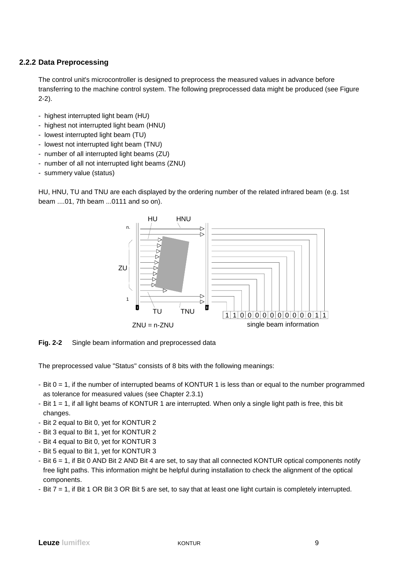### **2.2.2 Data Preprocessing**

The control unit's microcontroller is designed to preprocess the measured values in advance before transferring to the machine control system. The following preprocessed data might be produced (see Figure 2-2).

- highest interrupted light beam (HU)
- highest not interrupted light beam (HNU)
- lowest interrupted light beam (TU)
- lowest not interrupted light beam (TNU)
- number of all interrupted light beams (ZU)
- number of all not interrupted light beams (ZNU)
- summery value (status)

HU, HNU, TU and TNU are each displayed by the ordering number of the related infrared beam (e.g. 1st beam ....01, 7th beam ...0111 and so on).



**Fig. 2-2** Single beam information and preprocessed data

The preprocessed value "Status" consists of 8 bits with the following meanings:

- Bit 0 = 1, if the number of interrupted beams of KONTUR 1 is less than or equal to the number programmed as tolerance for measured values (see Chapter 2.3.1)
- Bit 1 = 1, if all light beams of KONTUR 1 are interrupted. When only a single light path is free, this bit changes.
- Bit 2 equal to Bit 0, yet for KONTUR 2
- Bit 3 equal to Bit 1, yet for KONTUR 2
- Bit 4 equal to Bit 0, yet for KONTUR 3
- Bit 5 equal to Bit 1, yet for KONTUR 3
- Bit 6 = 1, if Bit 0 AND Bit 2 AND Bit 4 are set, to say that all connected KONTUR optical components notify free light paths. This information might be helpful during installation to check the alignment of the optical components.
- Bit 7 = 1, if Bit 1 OR Bit 3 OR Bit 5 are set, to say that at least one light curtain is completely interrupted.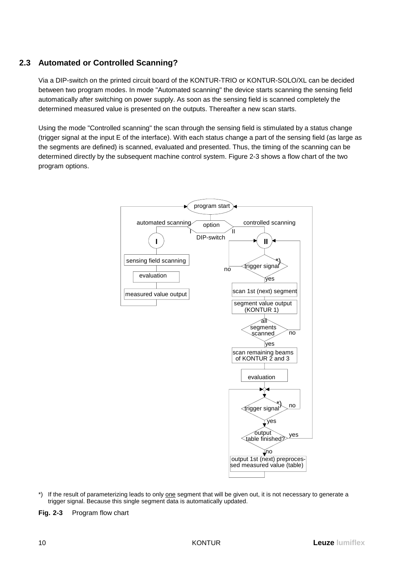## **2.3 Automated or Controlled Scanning?**

Via a DIP-switch on the printed circuit board of the KONTUR-TRIO or KONTUR-SOLO/XL can be decided between two program modes. In mode "Automated scanning" the device starts scanning the sensing field automatically after switching on power supply. As soon as the sensing field is scanned completely the determined measured value is presented on the outputs. Thereafter a new scan starts.

Using the mode "Controlled scanning" the scan through the sensing field is stimulated by a status change (trigger signal at the input E of the interface). With each status change a part of the sensing field (as large as the segments are defined) is scanned, evaluated and presented. Thus, the timing of the scanning can be determined directly by the subsequent machine control system. Figure 2-3 shows a flow chart of the two program options.



- \*) If the result of parameterizing leads to only one segment that will be given out, it is not necessary to generate a trigger signal. Because this single segment data is automatically updated.
- **Fig. 2-3** Program flow chart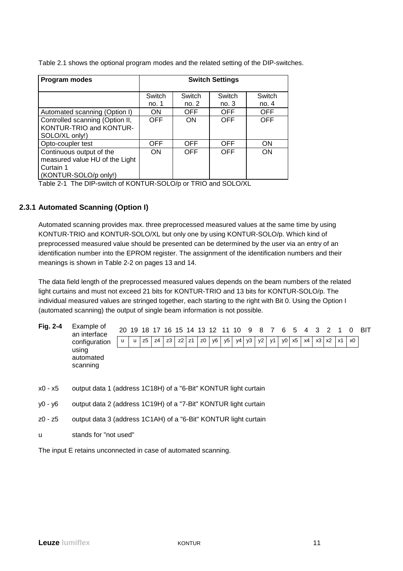Table 2.1 shows the optional program modes and the related setting of the DIP-switches.

| Program modes                                                                                    | <b>Switch Settings</b> |            |            |            |  |  |  |  |
|--------------------------------------------------------------------------------------------------|------------------------|------------|------------|------------|--|--|--|--|
|                                                                                                  | Switch                 | Switch     | Switch     | Switch     |  |  |  |  |
|                                                                                                  | no. 1                  | no. 2      | no. $3$    | no. $4$    |  |  |  |  |
| Automated scanning (Option I)                                                                    | <b>ON</b>              | <b>OFF</b> | OFF        | OFF.       |  |  |  |  |
| Controlled scanning (Option II,<br>KONTUR-TRIO and KONTUR-<br>SOLO/XL only!)                     | OFF                    | <b>ON</b>  | OFF        | <b>OFF</b> |  |  |  |  |
| Opto-coupler test                                                                                | OFF                    | <b>OFF</b> | <b>OFF</b> | <b>ON</b>  |  |  |  |  |
| Continuous output of the<br>measured value HU of the Light<br>Curtain 1<br>(KONTUR-SOLO/p only!) | <b>ON</b>              | <b>OFF</b> | <b>OFF</b> | <b>ON</b>  |  |  |  |  |

Table 2-1 The DIP-switch of KONTUR-SOLO/p or TRIO and SOLO/XL

### **2.3.1 Automated Scanning (Option I)**

Automated scanning provides max. three preprocessed measured values at the same time by using KONTUR-TRIO and KONTUR-SOLO/XL but only one by using KONTUR-SOLO/p. Which kind of preprocessed measured value should be presented can be determined by the user via an entry of an identification number into the EPROM register. The assignment of the identification numbers and their meanings is shown in Table 2-2 on pages 13 and 14.

The data field length of the preprocessed measured values depends on the beam numbers of the related light curtains and must not exceed 21 bits for KONTUR-TRIO and 13 bits for KONTUR-SOLO/p. The individual measured values are stringed together, each starting to the right with Bit 0. Using the Option I (automated scanning) the output of single beam information is not possible.

- **Fig. 2-4** Example of an interface configuration using automated scanning 20 19 18 17 16 15 14 13 12 11 10 9 8 7 6 5 4 3 2 1 0 BIT u | u |z5 |z4 |z3 | z2 |z1 |z0 | y6 | y5 | y4 | y3 | y2 | y1 | y0 | x5 | x4 | x3 | x2 | x1 | x0
- x0 x5 output data 1 (address 1C18H) of a "6-Bit" KONTUR light curtain
- y0 y6 output data 2 (address 1C19H) of a "7-Bit" KONTUR light curtain
- z0 z5 output data 3 (address 1C1AH) of a "6-Bit" KONTUR light curtain
- u stands for "not used"

The input E retains unconnected in case of automated scanning.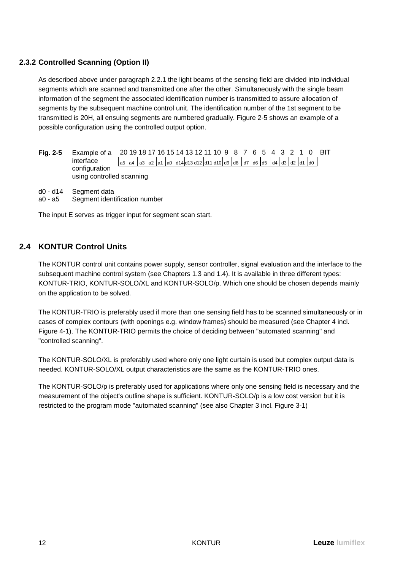## **2.3.2 Controlled Scanning (Option II)**

As described above under paragraph 2.2.1 the light beams of the sensing field are divided into individual segments which are scanned and transmitted one after the other. Simultaneously with the single beam information of the segment the associated identification number is transmitted to assure allocation of segments by the subsequent machine control unit. The identification number of the 1st segment to be transmitted is 20H, all ensuing segments are numbered gradually. Figure 2-5 shows an example of a possible configuration using the controlled output option.

| Fia. 2-5 | Example of a              |  |  |  |  |  |  |  |  |  |                                                                                                                                                                                                                                         |  | 20 19 18 17 16 15 14 13 12 11 10 9 8 7 6 5 4 3 2 1 0 BIT |
|----------|---------------------------|--|--|--|--|--|--|--|--|--|-----------------------------------------------------------------------------------------------------------------------------------------------------------------------------------------------------------------------------------------|--|----------------------------------------------------------|
|          | interface                 |  |  |  |  |  |  |  |  |  | $\vert$ a5 $\vert$ a4 $\vert$ a3 $\vert$ a2 $\vert$ a1 $\vert$ a0 $\vert$ d14 $\vert$ d13 $\vert$ d11 $\vert$ d10 $\vert$ d9 $\vert$ d8 $\vert$ d7 $\vert$ d6 $\vert$ d5 $\vert$ d4 $\vert$ d3 $\vert$ d2 $\vert$ d1 $\vert$ d0 $\vert$ |  |                                                          |
|          | configuration             |  |  |  |  |  |  |  |  |  |                                                                                                                                                                                                                                         |  |                                                          |
|          | using controlled scanning |  |  |  |  |  |  |  |  |  |                                                                                                                                                                                                                                         |  |                                                          |

- d0 d14 Segment data
- a0 a5 Segment identification number

The input E serves as trigger input for segment scan start.

## **2.4 KONTUR Control Units**

The KONTUR control unit contains power supply, sensor controller, signal evaluation and the interface to the subsequent machine control system (see Chapters 1.3 and 1.4). It is available in three different types: KONTUR-TRIO, KONTUR-SOLO/XL and KONTUR-SOLO/p. Which one should be chosen depends mainly on the application to be solved.

The KONTUR-TRIO is preferably used if more than one sensing field has to be scanned simultaneously or in cases of complex contours (with openings e.g. window frames) should be measured (see Chapter 4 incl. Figure 4-1). The KONTUR-TRIO permits the choice of deciding between "automated scanning" and "controlled scanning".

The KONTUR-SOLO/XL is preferably used where only one light curtain is used but complex output data is needed. KONTUR-SOLO/XL output characteristics are the same as the KONTUR-TRIO ones.

The KONTUR-SOLO/p is preferably used for applications where only one sensing field is necessary and the measurement of the object's outline shape is sufficient. KONTUR-SOLO/p is a low cost version but it is restricted to the program mode "automated scanning" (see also Chapter 3 incl. Figure 3-1)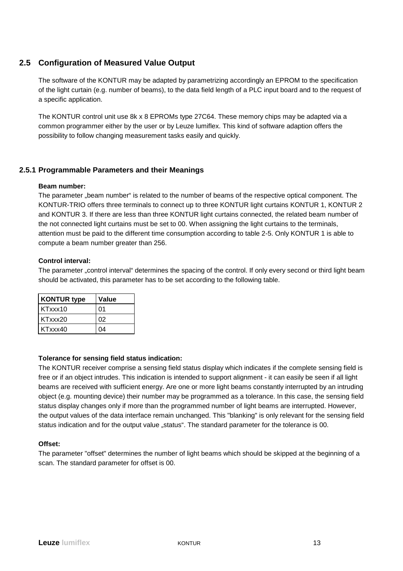### **2.5 Configuration of Measured Value Output**

The software of the KONTUR may be adapted by parametrizing accordingly an EPROM to the specification of the light curtain (e.g. number of beams), to the data field length of a PLC input board and to the request of a specific application.

The KONTUR control unit use 8k x 8 EPROMs type 27C64. These memory chips may be adapted via a common programmer either by the user or by Leuze lumiflex. This kind of software adaption offers the possibility to follow changing measurement tasks easily and quickly.

### **2.5.1 Programmable Parameters and their Meanings**

#### **Beam number:**

The parameter "beam number" is related to the number of beams of the respective optical component. The KONTUR-TRIO offers three terminals to connect up to three KONTUR light curtains KONTUR 1, KONTUR 2 and KONTUR 3. If there are less than three KONTUR light curtains connected, the related beam number of the not connected light curtains must be set to 00. When assigning the light curtains to the terminals, attention must be paid to the different time consumption according to table 2-5. Only KONTUR 1 is able to compute a beam number greater than 256.

#### **Control interval:**

The parameter "control interval" determines the spacing of the control. If only every second or third light beam should be activated, this parameter has to be set according to the following table.

| <b>KONTUR type</b> | Value |
|--------------------|-------|
| KTxxx10            | 01    |
| KTxxx20            | 02    |
| KTxxx40            | 04    |

#### **Tolerance for sensing field status indication:**

The KONTUR receiver comprise a sensing field status display which indicates if the complete sensing field is free or if an object intrudes. This indication is intended to support alignment - it can easily be seen if all light beams are received with sufficient energy. Are one or more light beams constantly interrupted by an intruding object (e.g. mounting device) their number may be programmed as a tolerance. In this case, the sensing field status display changes only if more than the programmed number of light beams are interrupted. However, the output values of the data interface remain unchanged. This "blanking" is only relevant for the sensing field status indication and for the output value "status". The standard parameter for the tolerance is 00.

#### **Offset:**

The parameter "offset" determines the number of light beams which should be skipped at the beginning of a scan. The standard parameter for offset is 00.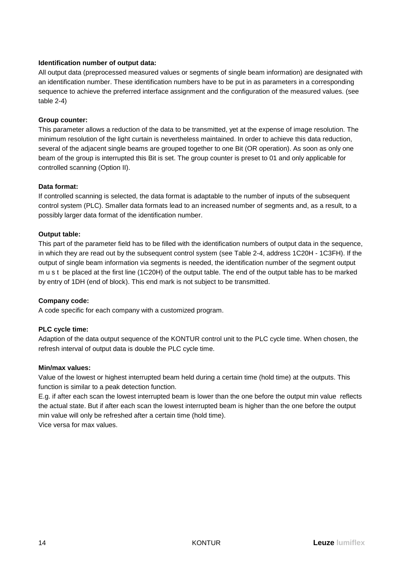### **Identification number of output data:**

All output data (preprocessed measured values or segments of single beam information) are designated with an identification number. These identification numbers have to be put in as parameters in a corresponding sequence to achieve the preferred interface assignment and the configuration of the measured values. (see table 2-4)

### **Group counter:**

This parameter allows a reduction of the data to be transmitted, yet at the expense of image resolution. The minimum resolution of the light curtain is nevertheless maintained. In order to achieve this data reduction, several of the adjacent single beams are grouped together to one Bit (OR operation). As soon as only one beam of the group is interrupted this Bit is set. The group counter is preset to 01 and only applicable for controlled scanning (Option II).

### **Data format:**

If controlled scanning is selected, the data format is adaptable to the number of inputs of the subsequent control system (PLC). Smaller data formats lead to an increased number of segments and, as a result, to a possibly larger data format of the identification number.

### **Output table:**

This part of the parameter field has to be filled with the identification numbers of output data in the sequence, in which they are read out by the subsequent control system (see Table 2-4, address 1C20H - 1C3FH). If the output of single beam information via segments is needed, the identification number of the segment output m u s t be placed at the first line (1C20H) of the output table. The end of the output table has to be marked by entry of 1DH (end of block). This end mark is not subject to be transmitted.

#### **Company code:**

A code specific for each company with a customized program.

### **PLC cycle time:**

Adaption of the data output sequence of the KONTUR control unit to the PLC cycle time. When chosen, the refresh interval of output data is double the PLC cycle time.

#### **Min/max values:**

Value of the lowest or highest interrupted beam held during a certain time (hold time) at the outputs. This function is similar to a peak detection function.

E.g. if after each scan the lowest interrupted beam is lower than the one before the output min value reflects the actual state. But if after each scan the lowest interrupted beam is higher than the one before the output min value will only be refreshed after a certain time (hold time). Vice versa for max values.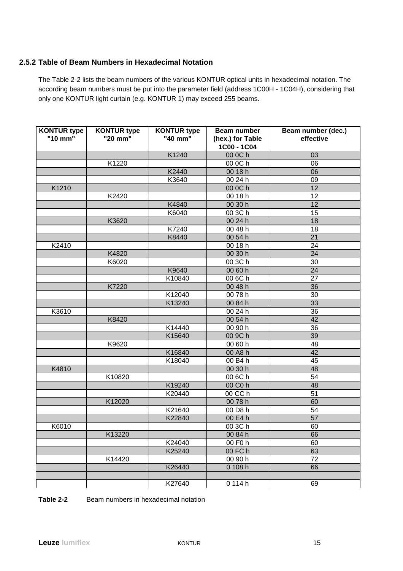### **2.5.2 Table of Beam Numbers in Hexadecimal Notation**

The Table 2-2 lists the beam numbers of the various KONTUR optical units in hexadecimal notation. The according beam numbers must be put into the parameter field (address 1C00H - 1C04H), considering that only one KONTUR light curtain (e.g. KONTUR 1) may exceed 255 beams.

| <b>KONTUR type</b><br>"10 mm" | <b>KONTUR type</b><br>"20 mm" | <b>KONTUR type</b><br>"40 mm" | Beam number<br>(hex.) for Table<br>1C00 - 1C04 | Beam number (dec.)<br>effective |
|-------------------------------|-------------------------------|-------------------------------|------------------------------------------------|---------------------------------|
|                               |                               | K1240                         | 00 0C h                                        | 03                              |
|                               | K1220                         |                               | 00 0C h                                        | 06                              |
|                               |                               | K2440                         | 00 18 h                                        | 06                              |
|                               |                               | K3640                         | 00 24 h                                        | 09                              |
| K1210                         |                               |                               | 00 0C h                                        | 12                              |
|                               | K2420                         |                               | 00 18 h                                        | 12                              |
|                               |                               | K4840                         | 00 30 h                                        | 12                              |
|                               |                               | K6040                         | 00 3C h                                        | 15                              |
|                               | K3620                         |                               | 00 24 h                                        | 18                              |
|                               |                               | K7240                         | 00 48 h                                        | 18                              |
|                               |                               | K8440                         | 00 54 h                                        | 21                              |
| K2410                         |                               |                               | 00 18 h                                        | 24                              |
|                               | K4820                         |                               | 00 30 h                                        | 24                              |
|                               | K6020                         |                               | 00 3C h                                        | 30                              |
|                               |                               | K9640                         | 00 60 h                                        | 24                              |
|                               |                               | K10840                        | 00 6C h                                        | 27                              |
|                               | K7220                         |                               | 00 48 h                                        | 36                              |
|                               |                               | K12040                        | 0078h                                          | 30                              |
|                               |                               | K13240                        | 00 84 h                                        | 33                              |
| K3610                         |                               |                               | 00 24 h                                        | 36                              |
|                               | K8420                         |                               | 00 54 h                                        | 42                              |
|                               |                               | K14440                        | 00 90 h                                        | 36                              |
|                               |                               | K15640                        | 00 9C h                                        | 39                              |
|                               | K9620                         |                               | 00 60 h                                        | 48                              |
|                               |                               | K16840                        | 00 A8 h                                        | 42                              |
|                               |                               | K18040                        | 00 B4 h                                        | 45                              |
| K4810                         |                               |                               | 00 30 h                                        | 48                              |
|                               | K10820                        |                               | 00 6C h                                        | 54                              |
|                               |                               | K19240                        | 00 C0 h                                        | 48                              |
|                               |                               | K20440                        | $00$ CC $h$                                    | 51                              |
|                               | K12020                        |                               | 0078h                                          | 60                              |
|                               |                               | K21640                        | 00 D8 h                                        | 54                              |
|                               |                               | K22840                        | 00 E4 h                                        | $\overline{57}$                 |
| K6010                         |                               |                               | 00 3C h                                        | 60                              |
|                               | K13220                        |                               | 00 84 h                                        | 66                              |
|                               |                               | K24040                        | 00 F0 h                                        | 60                              |
|                               |                               | K25240                        | 00 FC h                                        | 63                              |
|                               | K14420                        |                               | 00 90 h                                        | 72                              |
|                               |                               | K26440                        | 0 108 h                                        | 66                              |
|                               |                               |                               |                                                |                                 |
|                               |                               | K27640                        | 0 114 h                                        | 69                              |

### **Table 2-2** Beam numbers in hexadecimal notation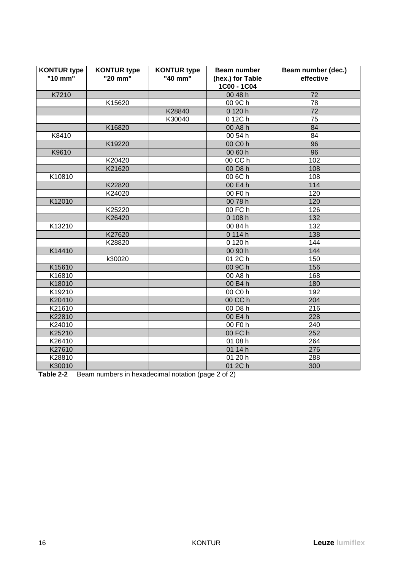| <b>KONTUR type</b> | <b>KONTUR type</b> | <b>KONTUR type</b> | <b>Beam number</b>              | Beam number (dec.) |
|--------------------|--------------------|--------------------|---------------------------------|--------------------|
| "10 mm"            | "20 mm"            | "40 mm"            | (hex.) for Table<br>1C00 - 1C04 | effective          |
| K7210              |                    |                    | 00 48 h                         | 72                 |
|                    | K15620             |                    | 00 9C h                         | 78                 |
|                    |                    | K28840             | 0 120 h                         | 72                 |
|                    |                    | K30040             | 0 12C h                         | 75                 |
|                    | K16820             |                    | 00 A8 h                         | 84                 |
| K8410              |                    |                    | 00 54 h                         | 84                 |
|                    | K19220             |                    | 00 C0 h                         | 96                 |
| K9610              |                    |                    | 00 60 h                         | 96                 |
|                    | K20420             |                    | 00 CC h                         | 102                |
|                    | K21620             |                    | 00 D8 h                         | 108                |
| K10810             |                    |                    | 00 6C h                         | 108                |
|                    | K22820             |                    | 00 E4 h                         | 114                |
|                    | K24020             |                    | 00 F0 h                         | 120                |
| K12010             |                    |                    | 0078h                           | 120                |
|                    | K25220             |                    | 00 FC h                         | 126                |
|                    | K26420             |                    | 0 108 h                         | 132                |
| K13210             |                    |                    | 00 84 h                         | 132                |
|                    | K27620             |                    | 0114h                           | 138                |
|                    | K28820             |                    | 0 120 h                         | 144                |
| K14410             |                    |                    | 00 90 h                         | 144                |
|                    | k30020             |                    | 01 2C h                         | 150                |
| K15610             |                    |                    | 00 9C h                         | 156                |
| K16810             |                    |                    | 00 A8 h                         | 168                |
| K18010             |                    |                    | 00 B4 h                         | 180                |
| K19210             |                    |                    | 00 C0 h                         | 192                |
| K20410             |                    |                    | 00 CC h                         | 204                |
| K21610             |                    |                    | 00 D8 h                         | 216                |
| K22810             |                    |                    | 00 E4 h                         | 228                |
| K24010             |                    |                    | 00 F0 h                         | 240                |
| K25210             |                    |                    | 00 FC h                         | 252                |
| K26410             |                    |                    | 01 08 h                         | 264                |
| K27610             |                    |                    | 01 14 h                         | 276                |
| K28810             |                    |                    | 01 20 h                         | 288                |
| K30010             |                    |                    | 01 2C h                         | 300                |

**Table 2-2** Beam numbers in hexadecimal notation (page 2 of 2)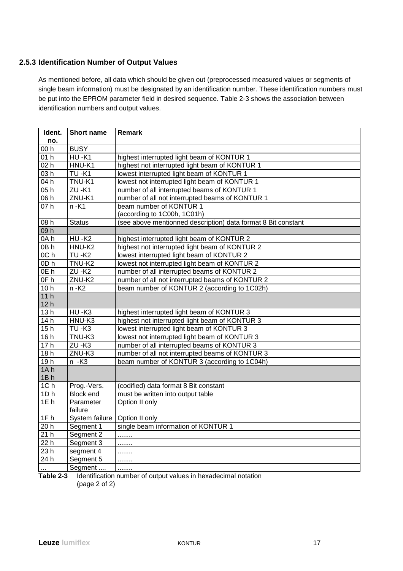### **2.5.3 Identification Number of Output Values**

As mentioned before, all data which should be given out (preprocessed measured values or segments of single beam information) must be designated by an identification number. These identification numbers must be put into the EPROM parameter field in desired sequence. Table 2-3 shows the association between identification numbers and output values.

| Ident.            | Short name         | <b>Remark</b>                                                 |
|-------------------|--------------------|---------------------------------------------------------------|
| no.               |                    |                                                               |
| 00h               | <b>BUSY</b>        |                                                               |
| 01h               | $HU -K1$           | highest interrupted light beam of KONTUR 1                    |
| 02 <sub>h</sub>   | HNU-K1             | highest not interrupted light beam of KONTUR 1                |
| 03h               | <b>TU-K1</b>       | lowest interrupted light beam of KONTUR 1                     |
| 04 h              | TNU-K1             | lowest not interrupted light beam of KONTUR 1                 |
| 05h               | <b>ZU-K1</b>       | number of all interrupted beams of KONTUR 1                   |
| $\overline{06}$ h | ZNU-K1             | number of all not interrupted beams of KONTUR 1               |
| 07h               | $n - K1$           | beam number of KONTUR 1                                       |
|                   |                    | (according to 1C00h, 1C01h)                                   |
| 08 h              | <b>Status</b>      | (see above mentionned description) data format 8 Bit constant |
| 09h               |                    |                                                               |
| 0Ah               | $HU -K2$           | highest interrupted light beam of KONTUR 2                    |
| 0Bh               | HNU-K2             | highest not interrupted light beam of KONTUR 2                |
| OC <sub>h</sub>   | $TU - K2$          | lowest interrupted light beam of KONTUR 2                     |
| 0Dh               | TNU-K <sub>2</sub> | lowest not interrupted light beam of KONTUR 2                 |
| 0E h              | $ZU - K2$          | number of all interrupted beams of KONTUR 2                   |
| 0F h              | ZNU-K2             | number of all not interrupted beams of KONTUR 2               |
| 10 <sub>h</sub>   | $n - K2$           | beam number of KONTUR 2 (according to 1C02h)                  |
| 11h               |                    |                                                               |
| 12 <sub>h</sub>   |                    |                                                               |
| 13h               | HU-K3              | highest interrupted light beam of KONTUR 3                    |
| 14h               | HNU-K3             | highest not interrupted light beam of KONTUR 3                |
| 15h               | $TU-K3$            | lowest interrupted light beam of KONTUR 3                     |
| 16h               | TNU-K3             | lowest not interrupted light beam of KONTUR 3                 |
| 17h               | $ZU - K3$          | number of all interrupted beams of KONTUR 3                   |
| 18h               | ZNU-K3             | number of all not interrupted beams of KONTUR 3               |
| 19h               | $n - K3$           | beam number of KONTUR 3 (according to 1C04h)                  |
| 1A <sub>h</sub>   |                    |                                                               |
| 1Bh               |                    |                                                               |
| 1Ch               | Prog.-Vers.        | (codified) data format 8 Bit constant                         |
| 1D <sub>h</sub>   | <b>Block end</b>   | must be written into output table                             |
| 1E <sub>h</sub>   | Parameter          | Option II only                                                |
|                   | failure            |                                                               |
| 1F <sub>h</sub>   | System failure     | Option II only                                                |
| 20 <sub>h</sub>   | Segment 1          | single beam information of KONTUR 1                           |
| 21h               | Segment 2          | .                                                             |
| 22h               | Segment 3          | .                                                             |
| 23 h              | segment 4          | .                                                             |
| 24 h              | Segment 5          | .                                                             |
| $\ldots$          | Segment            | .                                                             |

**Table 2-3** Identification number of output values in hexadecimal notation (page 2 of 2)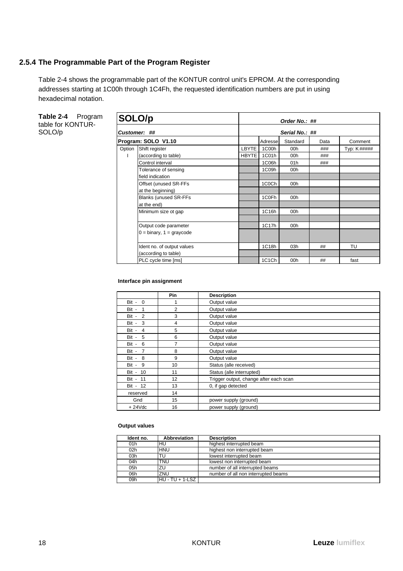### **2.5.4 The Programmable Part of the Program Register**

Table 2-4 shows the programmable part of the KONTUR control unit's EPROM. At the corresponding addresses starting at 1C00h through 1C4Fh, the requested identification numbers are put in using hexadecimal notation.

**Table 2-4** Program table for KONTUR-SOLO/p

| SOLO/p |                              | Order No.: ##  |                   |          |      |             |  |  |  |
|--------|------------------------------|----------------|-------------------|----------|------|-------------|--|--|--|
|        | Customer: ##                 | Serial No.: ## |                   |          |      |             |  |  |  |
|        | Program: SOLO V1.10          |                | Adressel          | Standard | Data | Comment     |  |  |  |
| Option | Shift register               | LBYTE          | 1C00h             | 00h      | ###  | Typ: K##### |  |  |  |
|        | (according to table)         | <b>HBYTE</b>   | 1C01h             | 00h      | ###  |             |  |  |  |
|        | Control interval             |                | 1C06h             | 01h      | ###  |             |  |  |  |
|        | Tolerance of sensing         |                | 1C09h             | 00h      |      |             |  |  |  |
|        | field indication             |                |                   |          |      |             |  |  |  |
|        | Offset (unused SR-FFs        |                | 1C0Ch             | 00h      |      |             |  |  |  |
|        | at the beginning)            |                |                   |          |      |             |  |  |  |
|        | <b>Blanks (unused SR-FFs</b> |                | 1C <sub>OFh</sub> | 00h      |      |             |  |  |  |
|        | at the end)                  |                |                   |          |      |             |  |  |  |
|        | Minimum size ot gap          |                | 1C16h             | 00h      |      |             |  |  |  |
|        |                              |                |                   |          |      |             |  |  |  |
|        | Output code parameter        |                | 1C17h             | 00h      |      |             |  |  |  |
|        | $0 = binary, 1 = graycode$   |                |                   |          |      |             |  |  |  |
|        |                              |                |                   |          |      |             |  |  |  |
|        | Ident no. of output values   |                | 1C18h             | 03h      | ##   | TU          |  |  |  |
|        | (according to table)         |                |                   |          |      |             |  |  |  |
|        | PLC cycle time [ms]          |                | 1C1Ch             | 00h      | ##   | fast        |  |  |  |

#### **Interface pin assignment**

|                         | Pin | <b>Description</b>                     |
|-------------------------|-----|----------------------------------------|
| $Bit - 0$               | 1   | Output value                           |
| Bit -<br>1              | 2   | Output value                           |
| Bit - 2                 | 3   | Output value                           |
| -3<br>Bit -             | 4   | Output value                           |
| Bit -<br>$\overline{4}$ | 5   | Output value                           |
| 5<br>Bit -              | 6   | Output value                           |
| Bit - 6                 | 7   | Output value                           |
| $\overline{7}$<br>Bit - | 8   | Output value                           |
| Bit - 8                 | 9   | Output value                           |
| 9<br>Bit -              | 10  | Status (alle received)                 |
| Bit - 10                | 11  | Status (alle interrupted)              |
| Bit - 11                | 12  | Trigger output, change after each scan |
| Bit - 12                | 13  | 0, if gap detected                     |
| reserved                | 14  |                                        |
| Gnd                     | 15  | power supply (ground)                  |
| $+24Vdc$                | 16  | power supply (ground)                  |

#### **Output values**

| Ident no.       | Abbreviation      | <b>Description</b>                  |
|-----------------|-------------------|-------------------------------------|
| 01 <sub>h</sub> | HU                | highest interrupted beam            |
| 02h             | <b>HNU</b>        | highest non interrupted beam        |
| 03h             | TU                | lowest interrupted beam             |
| 04h             | TNU               | lowest non interrupted beam         |
| 05h             | ΖU                | number of all interrupted beams     |
| 06h             | ZNU               | number of all non interrupted beams |
| 09h             | HU - TU + 1-LSZ I |                                     |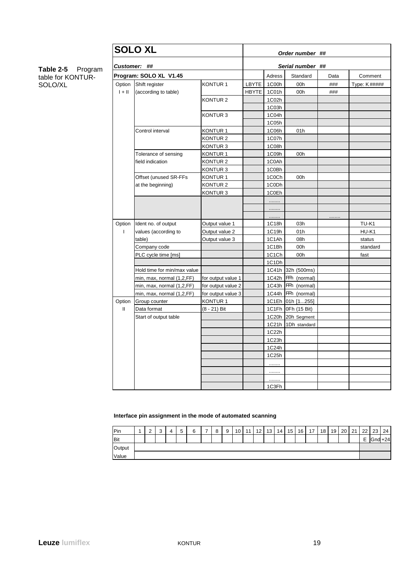#### **Table 2-5** Program table for KONTUR-SOLO/XL

|              | <b>SOLO XL</b>              |                     | Order number ## |                  |                    |      |              |  |  |  |
|--------------|-----------------------------|---------------------|-----------------|------------------|--------------------|------|--------------|--|--|--|
|              | Customer: ##                |                     |                 | Serial number ## |                    |      |              |  |  |  |
|              | Program: SOLO XL V1.45      |                     |                 | Adress           | Standard           | Data | Comment      |  |  |  |
| Option       | Shift register              | KONTUR <sub>1</sub> | LBYTE           | 1C00h            | 00h                | ###  | Type: K##### |  |  |  |
| $1 + 11$     | (according to table)        |                     | HBYTE           | 1C01h            | 00h                | ###  |              |  |  |  |
|              |                             | KONTUR <sub>2</sub> |                 | 1C02h            |                    |      |              |  |  |  |
|              |                             |                     |                 | 1C03h            |                    |      |              |  |  |  |
|              |                             | KONTUR <sub>3</sub> |                 | 1C04h            |                    |      |              |  |  |  |
|              |                             |                     |                 | 1C05h            |                    |      |              |  |  |  |
|              | Control interval            | KONTUR <sub>1</sub> |                 | 1C06h            | 01h                |      |              |  |  |  |
|              |                             | KONTUR <sub>2</sub> |                 | 1C07h            |                    |      |              |  |  |  |
|              |                             | KONTUR <sub>3</sub> |                 | 1C08h            |                    |      |              |  |  |  |
|              | Tolerance of sensing        | KONTUR <sub>1</sub> |                 | 1C09h            | 00h                |      |              |  |  |  |
|              | field indication            | KONTUR <sub>2</sub> |                 | 1C0Ah            |                    |      |              |  |  |  |
|              |                             | KONTUR 3            |                 | 1C0Bh            |                    |      |              |  |  |  |
|              | Offset (unused SR-FFs       | KONTUR <sub>1</sub> |                 | 1C0Ch            | 00h                |      |              |  |  |  |
|              | at the beginning)           | KONTUR <sub>2</sub> |                 | 1C0Dh            |                    |      |              |  |  |  |
|              |                             | KONTUR3             |                 | 1C0Eh            |                    |      |              |  |  |  |
|              |                             |                     |                 | .                |                    |      |              |  |  |  |
|              |                             |                     |                 |                  |                    |      |              |  |  |  |
|              |                             |                     |                 |                  |                    |      |              |  |  |  |
| Option       | Ident no. of output         | Output value 1      |                 | 1C18h            | 03h                |      | TU-K1        |  |  |  |
| T            | values (according to        | Output value 2      |                 | 1C19h            | 01h                |      | HU-K1        |  |  |  |
|              | table)                      | Output value 3      |                 | 1C1Ah            | 08h                |      | status       |  |  |  |
|              | Company code                |                     |                 | 1C1Bh            | 00h                |      | standard     |  |  |  |
|              | PLC cycle time [ms]         |                     |                 | 1C1Ch            | 00h                |      | fast         |  |  |  |
|              |                             |                     |                 | 1C1Dh            |                    |      |              |  |  |  |
|              | Hold time for min/max value |                     |                 |                  | 1C41h 32h (500ms)  |      |              |  |  |  |
|              | min, max, normal (1,2,FF)   | for output value 1  |                 | 1C42h            | FFh (normal)       |      |              |  |  |  |
|              | min, max, normal (1,2,FF)   | for output value 2  |                 | 1C43h            | FFh (normal)       |      |              |  |  |  |
|              | min, max, normal (1,2,FF)   | for output value 3  |                 | 1C44h            | FFh (normal)       |      |              |  |  |  |
| Option       | Group counter               | KONTUR <sub>1</sub> |                 |                  | 1C1Eh 01h [1255]   |      |              |  |  |  |
| $\mathbf{I}$ | Data format                 | (8 - 21) Bit        |                 |                  | 1C1Fh OFh (15 Bit) |      |              |  |  |  |
|              | Start of output table       |                     |                 |                  | 1C20h 20h Segment  |      |              |  |  |  |
|              |                             |                     |                 | 1C21h            | 1Dh standard       |      |              |  |  |  |
|              |                             |                     |                 | 1C22h            |                    |      |              |  |  |  |
|              |                             |                     |                 | 1C23h            |                    |      |              |  |  |  |
|              |                             |                     |                 | 1C24h            |                    |      |              |  |  |  |
|              |                             |                     |                 | 1C25h            |                    |      |              |  |  |  |
|              |                             |                     |                 | .                |                    |      |              |  |  |  |
|              |                             |                     |                 |                  |                    |      |              |  |  |  |
|              |                             |                     |                 | .                |                    |      |              |  |  |  |
|              |                             |                     |                 | 1C3Fh            |                    |      |              |  |  |  |

**Interface pin assignment in the mode of automated scanning**

| Pin    | $\sim$<br>- | $\sim$<br>ັ | 4 | -<br>∽<br>J | a<br>ບ | 8 | $\Omega$ | 10 <sup>1</sup> | 11 I | 12 <sup>1</sup> | 13 | 14 <sub>1</sub> | 15 | 16 | 17 <sup>1</sup> | 18 | 19 | 20 | 21<br>∠ । | 22 | 23 <sup>1</sup> | 24 |
|--------|-------------|-------------|---|-------------|--------|---|----------|-----------------|------|-----------------|----|-----------------|----|----|-----------------|----|----|----|-----------|----|-----------------|----|
| Bit    |             |             |   |             |        |   |          |                 |      |                 |    |                 |    |    |                 |    |    |    |           | -  | $Gnd + 24$      |    |
| Output |             |             |   |             |        |   |          |                 |      |                 |    |                 |    |    |                 |    |    |    |           |    |                 |    |
| Value  |             |             |   |             |        |   |          |                 |      |                 |    |                 |    |    |                 |    |    |    |           |    |                 |    |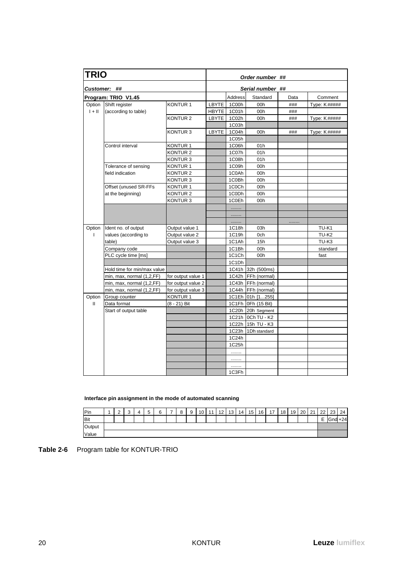| <b>TRIO</b>  |                             |                     | Order number ## |                     |                      |      |                   |  |  |  |
|--------------|-----------------------------|---------------------|-----------------|---------------------|----------------------|------|-------------------|--|--|--|
|              | <b>Customer: ##</b>         |                     |                 |                     | Serial number ##     |      |                   |  |  |  |
|              | Program: TRIO V1.45         |                     |                 | Address             | Standard             | Data | Comment           |  |  |  |
| Option       | Shift register              | <b>KONTUR1</b>      | LBYTE           | 1C00h               | 00h                  | ###  | Type: K#####      |  |  |  |
| $1 + 11$     | (according to table)        |                     |                 | HBYTE 1C01h         | 00h                  | ###  |                   |  |  |  |
|              |                             | KONTUR <sub>2</sub> |                 | LBYTE 1C02h         | 00h                  | ###  | Type: K#####      |  |  |  |
|              |                             |                     |                 | 1C03h               |                      |      |                   |  |  |  |
|              |                             | KONTUR <sub>3</sub> | LBYTE           | 1C04h               | 00h                  | ###  | Type: K#####      |  |  |  |
|              |                             |                     |                 | $\overline{1}$ C05h |                      |      |                   |  |  |  |
|              | Control interval            | KONTUR <sub>1</sub> |                 | 1C06h               | 01h                  |      |                   |  |  |  |
|              |                             | KONTUR <sub>2</sub> |                 | 1C07h               | 01h                  |      |                   |  |  |  |
|              |                             | KONTUR <sub>3</sub> |                 | 1C08h               | 01h                  |      |                   |  |  |  |
|              | Tolerance of sensing        | KONTUR 1            |                 | 1C09h               | 00h                  |      |                   |  |  |  |
|              | field indication            | <b>KONTUR2</b>      |                 | 1C0Ah               | 00h                  |      |                   |  |  |  |
|              |                             | KONTUR <sub>3</sub> |                 | 1C0Bh               | 00h                  |      |                   |  |  |  |
|              | Offset (unused SR-FFs       | KONTUR <sub>1</sub> |                 | 1C0Ch               | 00h                  |      |                   |  |  |  |
|              | at the beginning)           | <b>KONTUR2</b>      |                 | 1C0Dh               | 00h                  |      |                   |  |  |  |
|              |                             | KONTUR <sub>3</sub> |                 | 1C0Eh               | 00h                  |      |                   |  |  |  |
|              |                             |                     |                 | .                   |                      |      |                   |  |  |  |
|              |                             |                     |                 | .                   |                      |      |                   |  |  |  |
|              |                             |                     |                 | .                   |                      | .    |                   |  |  |  |
| Option       | Ident no. of output         | Output value 1      |                 | 1C18h               | 03h                  |      | TU-K1             |  |  |  |
| $\mathbf{I}$ | values (according to        | Output value 2      |                 | 1C19h               | 0ch                  |      | TU-K <sub>2</sub> |  |  |  |
|              | table)                      | Output value 3      |                 | 1C1Ah               | 15h                  |      | TU-K3             |  |  |  |
|              | Company code                |                     |                 | 1C1Bh               | 00h                  |      | standard          |  |  |  |
|              | PLC cycle time [ms]         |                     |                 | 1C1Ch               | 00h                  |      | fast              |  |  |  |
|              |                             |                     |                 | 1C1Dh               |                      |      |                   |  |  |  |
|              | Hold time for min/max value |                     |                 |                     | 1C41h 32h (500ms)    |      |                   |  |  |  |
|              | min, max, normal (1,2,FF)   | for output value 1  |                 |                     | 1C42h FFh (normal)   |      |                   |  |  |  |
|              | min, max, normal (1,2,FF)   | for output value 2  |                 |                     | 1C43h   FFh (normal) |      |                   |  |  |  |
|              | min, max, normal (1,2,FF)   | for output value 3  |                 |                     | 1C44h FFh (normal)   |      |                   |  |  |  |
| Option       | Group counter               | KONTUR <sub>1</sub> |                 |                     | 1C1Eh 01h [1255]     |      |                   |  |  |  |
| Ш            | Data format                 | (8 - 21) Bit        |                 |                     | 1C1Fh OFh (15 Bit)   |      |                   |  |  |  |
|              | Start of output table       |                     |                 |                     | 1C20h 20h Segment    |      |                   |  |  |  |
|              |                             |                     |                 |                     | 1C21h OCh TU - K2    |      |                   |  |  |  |
|              |                             |                     |                 |                     | 1C22h 15h TU - K3    |      |                   |  |  |  |
|              |                             |                     |                 |                     | 1C23h 1Dh standard   |      |                   |  |  |  |
|              |                             |                     |                 | 1C24h               |                      |      |                   |  |  |  |
|              |                             |                     |                 | 1C25h               |                      |      |                   |  |  |  |
|              |                             |                     |                 | .                   |                      |      |                   |  |  |  |
|              |                             |                     |                 | .                   |                      |      |                   |  |  |  |
|              |                             |                     |                 | .                   |                      |      |                   |  |  |  |
|              |                             |                     |                 | 1C3Fh               |                      |      |                   |  |  |  |

**Interface pin assignment in the mode of automated scanning**

| Pin          | $\sim$<br>∸ | $\sim$<br>v | -<br> | 6 | - | 8 | Q<br>v | 10 <sup>1</sup> | 11 | 12<br>' 4 | 13 <sub>1</sub> | 14 | 15 <sub>1</sub> | 16 <sup>1</sup> | 17 | 18 | 19 | 20I<br>∠∪ | 21<br>∠ | າາ          | 23         | 24 |
|--------------|-------------|-------------|-------|---|---|---|--------|-----------------|----|-----------|-----------------|----|-----------------|-----------------|----|----|----|-----------|---------|-------------|------------|----|
| <b>I</b> Bit |             |             |       |   |   |   |        |                 |    |           |                 |    |                 |                 |    |    |    |           |         | -<br>-<br>- | $Gnd + 24$ |    |
| Output       |             |             |       |   |   |   |        |                 |    |           |                 |    |                 |                 |    |    |    |           |         |             |            |    |
| Value        |             |             |       |   |   |   |        |                 |    |           |                 |    |                 |                 |    |    |    |           |         |             |            |    |

| Table 2-6 | Program table for KONTUR-TRIO |
|-----------|-------------------------------|
|-----------|-------------------------------|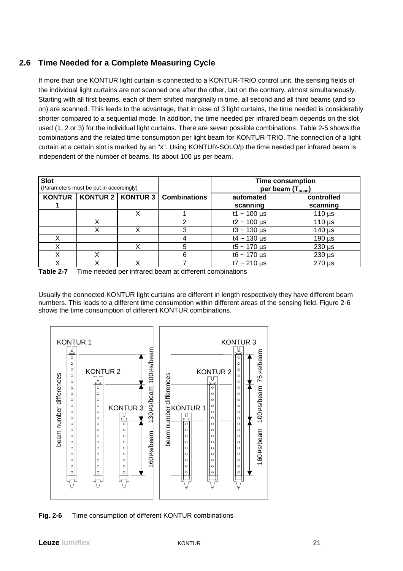## **2.6 Time Needed for a Complete Measuring Cycle**

If more than one KONTUR light curtain is connected to a KONTUR-TRIO control unit, the sensing fields of the individual light curtains are not scanned one after the other, but on the contrary, almost simultaneously. Starting with all first beams, each of them shifted marginally in time, all second and all third beams (and so on) are scanned. This leads to the advantage, that in case of 3 light curtains, the time needed is considerably shorter compared to a sequential mode. In addition, the time needed per infrared beam depends on the slot used (1, 2 or 3) for the individual light curtains. There are seven possible combinations. Table 2-5 shows the combinations and the related time consumption per light beam for KONTUR-TRIO. The connection of a light curtain at a certain slot is marked by an "x". Using KONTUR-SOLO/p the time needed per infrared beam is independent of the number of beams. Its about 100 µs per beam.

| <b>Slot</b>   | (Parameters must be put in accordingly) |                     |                     | <b>Time consumption</b><br>per beam (T <sub>scan</sub> ) |                        |  |  |  |  |
|---------------|-----------------------------------------|---------------------|---------------------|----------------------------------------------------------|------------------------|--|--|--|--|
| <b>KONTUR</b> |                                         | KONTUR 2   KONTUR 3 | <b>Combinations</b> | automated<br>scanning                                    | controlled<br>scanning |  |  |  |  |
|               |                                         |                     |                     | $t1 - 100 \,\mu s$                                       | $110 \mu s$            |  |  |  |  |
|               |                                         |                     | າ                   | $t2 - 100 \,\mu s$                                       | $110 \mu s$            |  |  |  |  |
|               |                                         |                     | 3                   | $t3 - 130 \,\mu s$                                       | $140 \mu s$            |  |  |  |  |
|               |                                         |                     |                     | $t4 - 130 \,\mu s$                                       | $190 \mu s$            |  |  |  |  |
|               |                                         |                     | 5                   | $t5 - 170 \,\mu s$                                       | $230 \mu s$            |  |  |  |  |
|               |                                         |                     | 6                   | $t6 - 170 \,\mu s$                                       | $230 \mu s$            |  |  |  |  |
|               |                                         |                     |                     | $t7 - 210 \,\mu s$                                       | $270 \mu s$            |  |  |  |  |

**Table 2-7** Time needed per infrared beam at different combinations

Usually the connected KONTUR light curtains are different in length respectively they have different beam numbers. This leads to a different time consumption within different areas of the sensing field. Figure 2-6 shows the time consumption of different KONTUR combinations.



**Fig. 2-6** Time consumption of different KONTUR combinations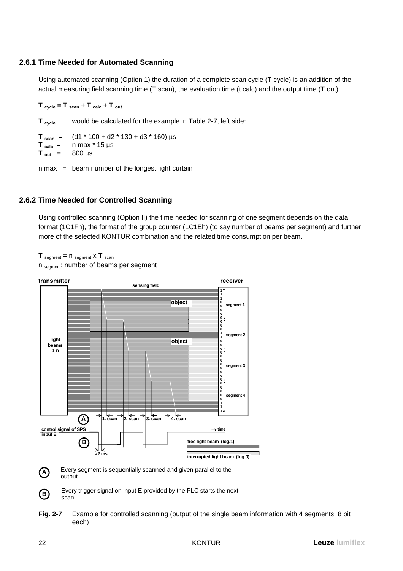### **2.6.1 Time Needed for Automated Scanning**

Using automated scanning (Option 1) the duration of a complete scan cycle (T cycle) is an addition of the actual measuring field scanning time (T scan), the evaluation time (t calc) and the output time (T out).

#### $T_{cycle} = T_{scan} + T_{calc} + T_{out}$

T **cycle** would be calculated for the example in Table 2-7, left side:

 $T_{\text{scan}} =$  (d1 \* 100 + d2 \* 130 + d3 \* 160) µs  $T_{calc}$  = n max  $*$  15  $\mu$ s  $T_{\text{out}}$  = 800 µs

 $n$  max = beam number of the longest light curtain

### **2.6.2 Time Needed for Controlled Scanning**

Using controlled scanning (Option II) the time needed for scanning of one segment depends on the data format (1C1Fh), the format of the group counter (1C1Eh) (to say number of beams per segment) and further more of the selected KONTUR combination and the related time consumption per beam.

 $T_{\text{segment}} = n_{\text{segment}} \times T_{\text{scan}}$ 

n segment: number of beams per segment



Every trigger signal on input E provided by the PLC starts the next

**Fig. 2-7** Example for controlled scanning (output of the single beam information with 4 segments, 8 bit each)

**B**

scan.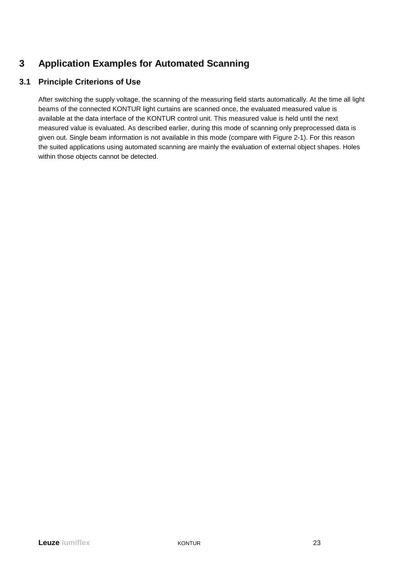## **3 Application Examples for Automated Scanning**

## **3.1 Principle Criterions of Use**

After switching the supply voltage, the scanning of the measuring field starts automatically. At the time all light beams of the connected KONTUR light curtains are scanned once, the evaluated measured value is available at the data interface of the KONTUR control unit. This measured value is held until the next measured value is evaluated. As described earlier, during this mode of scanning only preprocessed data is given out. Single beam information is not available in this mode (compare with Figure 2-1). For this reason the suited applications using automated scanning are mainly the evaluation of external object shapes. Holes within those objects cannot be detected.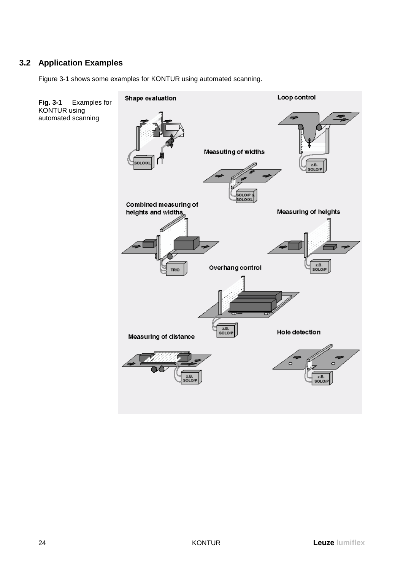## **3.2 Application Examples**

Figure 3-1 shows some examples for KONTUR using automated scanning.

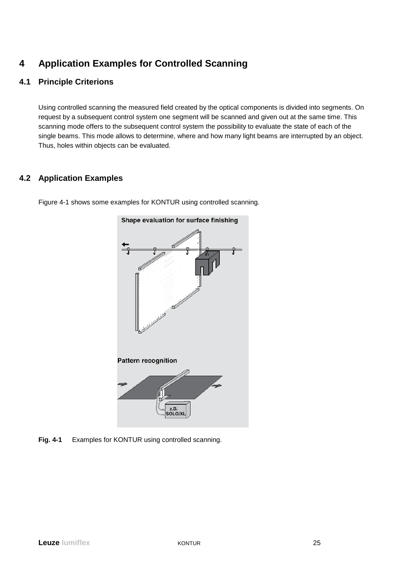## **4 Application Examples for Controlled Scanning**

### **4.1 Principle Criterions**

Using controlled scanning the measured field created by the optical components is divided into segments. On request by a subsequent control system one segment will be scanned and given out at the same time. This scanning mode offers to the subsequent control system the possibility to evaluate the state of each of the single beams. This mode allows to determine, where and how many light beams are interrupted by an object. Thus, holes within objects can be evaluated.

## **4.2 Application Examples**



Figure 4-1 shows some examples for KONTUR using controlled scanning.

**Fig. 4-1** Examples for KONTUR using controlled scanning.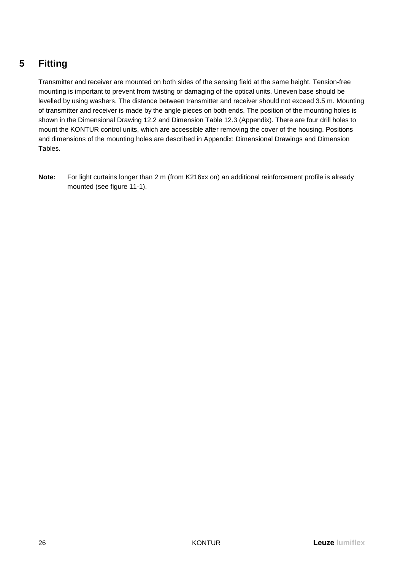## **5 Fitting**

Transmitter and receiver are mounted on both sides of the sensing field at the same height. Tension-free mounting is important to prevent from twisting or damaging of the optical units. Uneven base should be levelled by using washers. The distance between transmitter and receiver should not exceed 3.5 m. Mounting of transmitter and receiver is made by the angle pieces on both ends. The position of the mounting holes is shown in the Dimensional Drawing 12.2 and Dimension Table 12.3 (Appendix). There are four drill holes to mount the KONTUR control units, which are accessible after removing the cover of the housing. Positions and dimensions of the mounting holes are described in Appendix: Dimensional Drawings and Dimension Tables.

**Note:** For light curtains longer than 2 m (from K216xx on) an additional reinforcement profile is already mounted (see figure 11-1).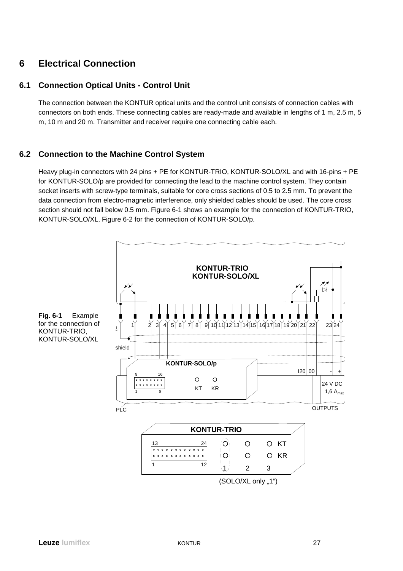## **6 Electrical Connection**

### **6.1 Connection Optical Units - Control Unit**

The connection between the KONTUR optical units and the control unit consists of connection cables with connectors on both ends. These connecting cables are ready-made and available in lengths of 1 m, 2.5 m, 5 m, 10 m and 20 m. Transmitter and receiver require one connecting cable each.

## **6.2 Connection to the Machine Control System**

Heavy plug-in connectors with 24 pins + PE for KONTUR-TRIO, KONTUR-SOLO/XL and with 16-pins + PE for KONTUR-SOLO/p are provided for connecting the lead to the machine control system. They contain socket inserts with screw-type terminals, suitable for core cross sections of 0.5 to 2.5 mm. To prevent the data connection from electro-magnetic interference, only shielded cables should be used. The core cross section should not fall below 0.5 mm. Figure 6-1 shows an example for the connection of KONTUR-TRIO, KONTUR-SOLO/XL, Figure 6-2 for the connection of KONTUR-SOLO/p.

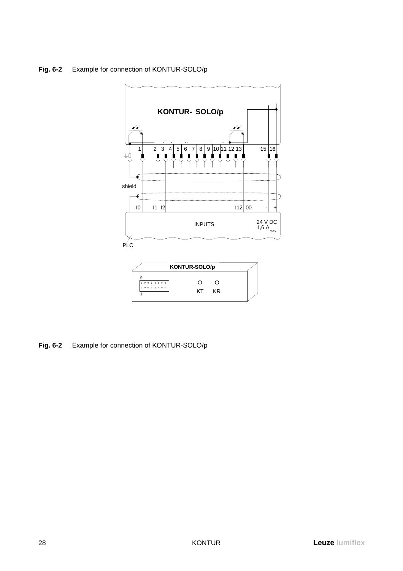## **Fig. 6-2** Example for connection of KONTUR-SOLO/p



**Fig. 6-2** Example for connection of KONTUR-SOLO/p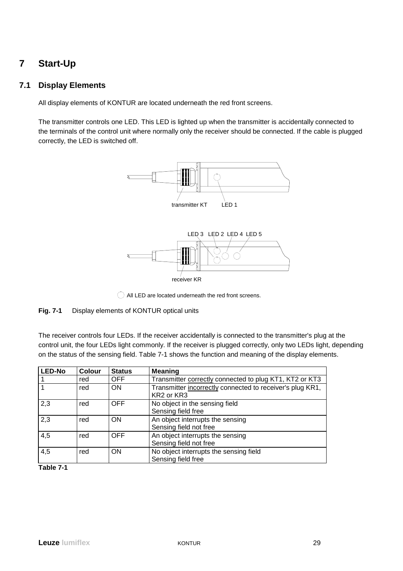## **7 Start-Up**

### **7.1 Display Elements**

All display elements of KONTUR are located underneath the red front screens.

The transmitter controls one LED. This LED is lighted up when the transmitter is accidentally connected to the terminals of the control unit where normally only the receiver should be connected. If the cable is plugged correctly, the LED is switched off.



All LED are located underneath the red front screens.

#### **Fig. 7-1** Display elements of KONTUR optical units

The receiver controls four LEDs. If the receiver accidentally is connected to the transmitter's plug at the control unit, the four LEDs light commonly. If the receiver is plugged correctly, only two LEDs light, depending on the status of the sensing field. Table 7-1 shows the function and meaning of the display elements.

| <b>LED-No</b> | <b>Colour</b> | <b>Status</b> | <b>Meaning</b>                                                          |
|---------------|---------------|---------------|-------------------------------------------------------------------------|
|               | red           | <b>OFF</b>    | Transmitter correctly connected to plug KT1, KT2 or KT3                 |
|               | red           | <b>ON</b>     | Transmitter incorrectly connected to receiver's plug KR1,<br>KR2 or KR3 |
| 2,3           | red           | <b>OFF</b>    | No object in the sensing field<br>Sensing field free                    |
| 2,3           | red           | <b>ON</b>     | An object interrupts the sensing<br>Sensing field not free              |
| 4,5           | red           | <b>OFF</b>    | An object interrupts the sensing<br>Sensing field not free              |
| 4,5           | red           | <b>ON</b>     | No object interrupts the sensing field<br>Sensing field free            |

**Table 7-1**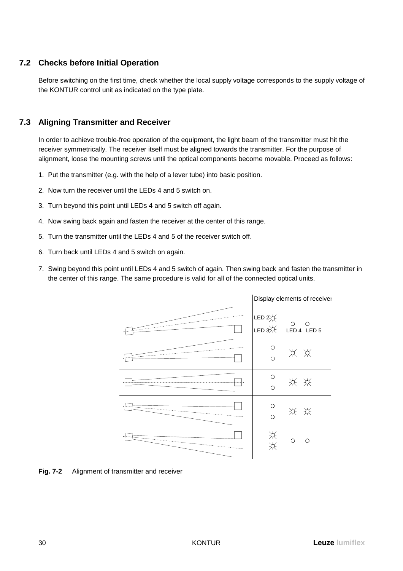### **7.2 Checks before Initial Operation**

Before switching on the first time, check whether the local supply voltage corresponds to the supply voltage of the KONTUR control unit as indicated on the type plate.

### **7.3 Aligning Transmitter and Receiver**

In order to achieve trouble-free operation of the equipment, the light beam of the transmitter must hit the receiver symmetrically. The receiver itself must be aligned towards the transmitter. For the purpose of alignment, loose the mounting screws until the optical components become movable. Proceed as follows:

- 1. Put the transmitter (e.g. with the help of a lever tube) into basic position.
- 2. Now turn the receiver until the LEDs 4 and 5 switch on.
- 3. Turn beyond this point until LEDs 4 and 5 switch off again.
- 4. Now swing back again and fasten the receiver at the center of this range.
- 5. Turn the transmitter until the LEDs 4 and 5 of the receiver switch off.
- 6. Turn back until LEDs 4 and 5 switch on again.
- 7. Swing beyond this point until LEDs 4 and 5 switch of again. Then swing back and fasten the transmitter in the center of this range. The same procedure is valid for all of the connected optical units.



**Fig. 7-2** Alignment of transmitter and receiver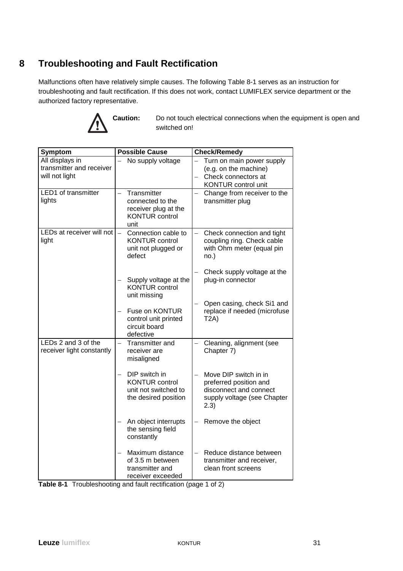## **8 Troubleshooting and Fault Rectification**

Malfunctions often have relatively simple causes. The following Table 8-1 serves as an instruction for troubleshooting and fault rectification. If this does not work, contact LUMIFLEX service department or the authorized factory representative.



**Caution:** Do not touch electrical connections when the equipment is open and switched on!

| <b>Symptom</b>                                                | <b>Possible Cause</b>                                                                                                                                                                                         | <b>Check/Remedy</b>                                                                                               |
|---------------------------------------------------------------|---------------------------------------------------------------------------------------------------------------------------------------------------------------------------------------------------------------|-------------------------------------------------------------------------------------------------------------------|
| All displays in<br>transmitter and receiver<br>will not light | No supply voltage                                                                                                                                                                                             | Turn on main power supply<br>(e.g. on the machine)<br>Check connectors at<br><b>KONTUR</b> control unit           |
| <b>LED1</b> of transmitter<br>lights                          | Transmitter<br>connected to the<br>receiver plug at the<br><b>KONTUR</b> control<br>unit                                                                                                                      | Change from receiver to the<br>transmitter plug                                                                   |
| LEDs at receiver will not<br>light                            | Connection cable to<br><b>KONTUR control</b><br>unit not plugged or<br>defect                                                                                                                                 | Check connection and tight<br>coupling ring. Check cable<br>with Ohm meter (equal pin<br>no.)                     |
|                                                               | Supply voltage at the<br><b>KONTUR control</b><br>unit missing                                                                                                                                                | Check supply voltage at the<br>plug-in connector                                                                  |
|                                                               | Fuse on KONTUR<br>control unit printed<br>circuit board<br>defective                                                                                                                                          | Open casing, check Si1 and<br>replace if needed (microfuse<br>T2A)                                                |
| LEDs 2 and 3 of the<br>receiver light constantly              | Transmitter and<br>$\overline{\phantom{0}}$<br>receiver are<br>misaligned                                                                                                                                     | Cleaning, alignment (see<br>Chapter 7)                                                                            |
|                                                               | DIP switch in<br><b>KONTUR control</b><br>unit not switched to<br>the desired position                                                                                                                        | Move DIP switch in in<br>preferred position and<br>disconnect and connect<br>supply voltage (see Chapter<br>(2.3) |
|                                                               | An object interrupts<br>the sensing field<br>constantly                                                                                                                                                       | Remove the object                                                                                                 |
|                                                               | Maximum distance<br>of 3.5 m between<br>transmitter and<br>receiver exceeded<br>$\mathcal{A} = \mathcal{B} = \mathcal{A} + \mathcal{A} = \mathcal{A} = \mathcal{A} + \mathcal{B} = \mathcal{A} + \mathcal{B}$ | Reduce distance between<br>transmitter and receiver,<br>clean front screens<br>$-1$ $\cap$<br>A                   |

|  |  | Table 8-1 Troubleshooting and fault rectification (page 1 of 2) |  |
|--|--|-----------------------------------------------------------------|--|
|--|--|-----------------------------------------------------------------|--|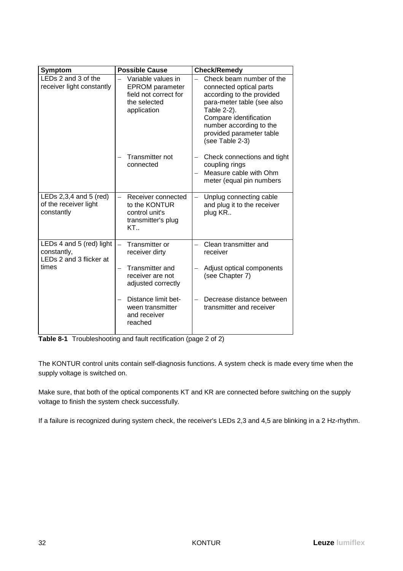| Symptom                                                            | <b>Possible Cause</b>                                                                                                            | <b>Check/Remedy</b>                                                                                                                                                                                                               |
|--------------------------------------------------------------------|----------------------------------------------------------------------------------------------------------------------------------|-----------------------------------------------------------------------------------------------------------------------------------------------------------------------------------------------------------------------------------|
| LEDs 2 and 3 of the<br>receiver light constantly                   | Variable values in<br>$\overline{\phantom{0}}$<br><b>EPROM</b> parameter<br>field not correct for<br>the selected<br>application | Check beam number of the<br>connected optical parts<br>according to the provided<br>para-meter table (see also<br>Table 2-2).<br>Compare identification<br>number according to the<br>provided parameter table<br>(see Table 2-3) |
|                                                                    | Transmitter not<br>connected                                                                                                     | Check connections and tight<br>coupling rings<br>Measure cable with Ohm<br>meter (equal pin numbers                                                                                                                               |
| LEDs 2,3,4 and 5 (red)<br>of the receiver light<br>constantly      | Receiver connected<br>$\overline{\phantom{0}}$<br>to the KONTUR<br>control unit's<br>transmitter's plug<br>KT.                   | Unplug connecting cable<br>$\overline{\phantom{0}}$<br>and plug it to the receiver<br>plug KR                                                                                                                                     |
| LEDs 4 and 5 (red) light<br>constantly,<br>LEDs 2 and 3 flicker at | Transmitter or<br>$\equiv$<br>receiver dirty                                                                                     | Clean transmitter and<br>receiver                                                                                                                                                                                                 |
| times                                                              | Transmitter and<br>receiver are not<br>adjusted correctly                                                                        | Adjust optical components<br>(see Chapter 7)                                                                                                                                                                                      |
|                                                                    | Distance limit bet-<br>ween transmitter<br>and receiver<br>reached                                                               | Decrease distance between<br>transmitter and receiver                                                                                                                                                                             |

**Table 8-1** Troubleshooting and fault rectification (page 2 of 2)

The KONTUR control units contain self-diagnosis functions. A system check is made every time when the supply voltage is switched on.

Make sure, that both of the optical components KT and KR are connected before switching on the supply voltage to finish the system check successfully.

If a failure is recognized during system check, the receiver's LEDs 2,3 and 4,5 are blinking in a 2 Hz-rhythm.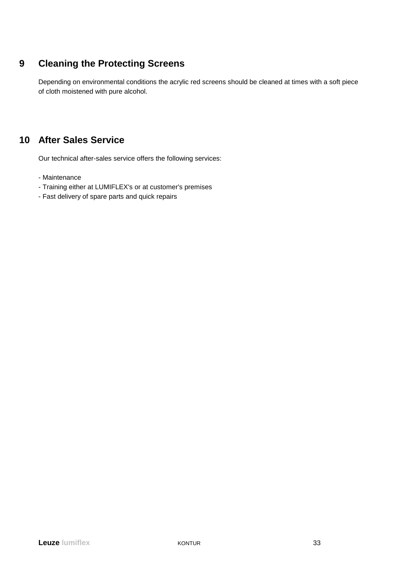## **9 Cleaning the Protecting Screens**

Depending on environmental conditions the acrylic red screens should be cleaned at times with a soft piece of cloth moistened with pure alcohol.

## **10 After Sales Service**

Our technical after-sales service offers the following services:

- Maintenance
- Training either at LUMIFLEX's or at customer's premises
- Fast delivery of spare parts and quick repairs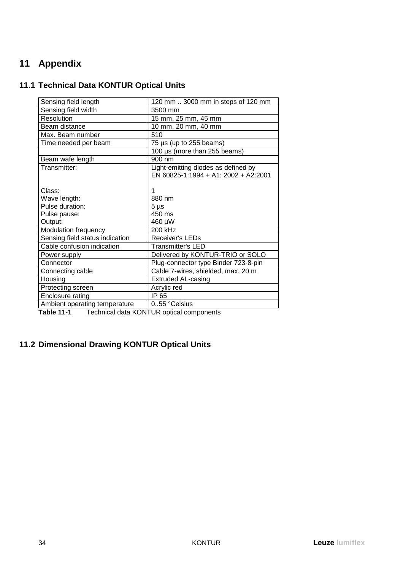## **11 Appendix**

## **11.1 Technical Data KONTUR Optical Units**

| Sensing field length            | 120 mm  3000 mm in steps of 120 mm   |
|---------------------------------|--------------------------------------|
| Sensing field width             | 3500 mm                              |
| Resolution                      | 15 mm, 25 mm, 45 mm                  |
| Beam distance                   | 10 mm, 20 mm, 40 mm                  |
| Max. Beam number                | 510                                  |
| Time needed per beam            | 75 $\mu$ s (up to 255 beams)         |
|                                 | 100 µs (more than 255 beams)         |
| Beam wafe length                | $900 \text{ nm}$                     |
| Transmitter:                    | Light-emitting diodes as defined by  |
|                                 | EN 60825-1:1994 + A1: 2002 + A2:2001 |
|                                 |                                      |
| Class:                          | 1                                    |
| Wave length:                    | 880 nm                               |
| Pulse duration:                 | $5 \mu s$                            |
| Pulse pause:                    | 450 ms                               |
| Output:                         | 460 µW                               |
| Modulation frequency            | 200 kHz                              |
| Sensing field status indication | <b>Receiver's LEDs</b>               |
| Cable confusion indication      | <b>Transmitter's LED</b>             |
| Power supply                    | Delivered by KONTUR-TRIO or SOLO     |
| Connector                       | Plug-connector type Binder 723-8-pin |
| Connecting cable                | Cable 7-wires, shielded, max. 20 m   |
| Housing                         | <b>Extruded AL-casing</b>            |
| Protecting screen               | Acrylic red                          |
| Enclosure rating                | IP 65                                |
| Ambient operating temperature   | 0.55 °Celsius                        |
|                                 |                                      |

**Table 11-1** Technical data KONTUR optical components

## **11.2 Dimensional Drawing KONTUR Optical Units**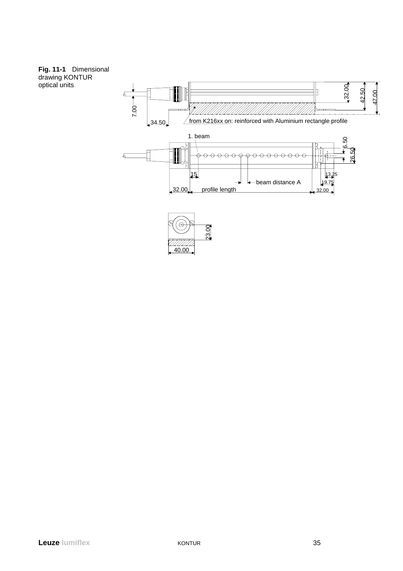#### **Fig. 11-1** Dimensional drawing KONTUR optical units

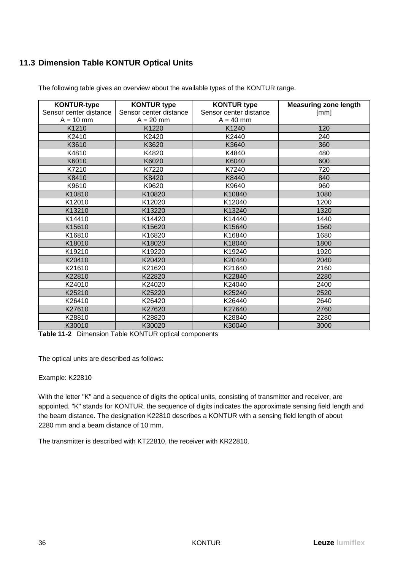## **11.3 Dimension Table KONTUR Optical Units**

| <b>KONTUR-type</b>     | <b>KONTUR type</b>     | <b>KONTUR type</b>     | <b>Measuring zone length</b> |
|------------------------|------------------------|------------------------|------------------------------|
| Sensor center distance | Sensor center distance | Sensor center distance | [mm]                         |
| $A = 10$ mm            | $A = 20$ mm            | $A = 40$ mm            |                              |
| K1210                  | K1220                  | K1240                  | 120                          |
| K2410                  | K2420                  | K2440                  | 240                          |
| K3610                  | K3620                  | K3640                  | 360                          |
| K4810                  | K4820                  | K4840                  | 480                          |
| K6010                  | K6020                  | K6040                  | 600                          |
| K7210                  | K7220                  | K7240                  | 720                          |
| K8410                  | K8420                  | K8440                  | 840                          |
| K9610                  | K9620                  | K9640                  | 960                          |
| K10810                 | K10820                 | K10840                 | 1080                         |
| K12010                 | K12020                 | K12040                 | 1200                         |
| K13210                 | K13220                 | K13240                 | 1320                         |
| K14410                 | K14420                 | K14440                 | 1440                         |
| K15610                 | K15620                 | K15640                 | 1560                         |
| K16810                 | K16820                 | K16840                 | 1680                         |
| K18010                 | K18020                 | K18040                 | 1800                         |
| K19210                 | K19220                 | K19240                 | 1920                         |
| K20410                 | K20420                 | K20440                 | 2040                         |
| K21610                 | K21620                 | K21640                 | 2160                         |
| K22810                 | K22820                 | K22840                 | 2280                         |
| K24010                 | K24020                 | K24040                 | 2400                         |
| K25210                 | K25220                 | K25240                 | 2520                         |
| K26410                 | K26420                 | K26440                 | 2640                         |
| K27610                 | K27620                 | K27640                 | 2760                         |
| K28810                 | K28820                 | K28840                 | 2280                         |
| K30010                 | K30020                 | K30040                 | 3000                         |

The following table gives an overview about the available types of the KONTUR range.

**Table 11-2** Dimension Table KONTUR optical components

The optical units are described as follows:

#### Example: K22810

With the letter "K" and a sequence of digits the optical units, consisting of transmitter and receiver, are appointed. "K" stands for KONTUR, the sequence of digits indicates the approximate sensing field length and the beam distance. The designation K22810 describes a KONTUR with a sensing field length of about 2280 mm and a beam distance of 10 mm.

The transmitter is described with KT22810, the receiver with KR22810.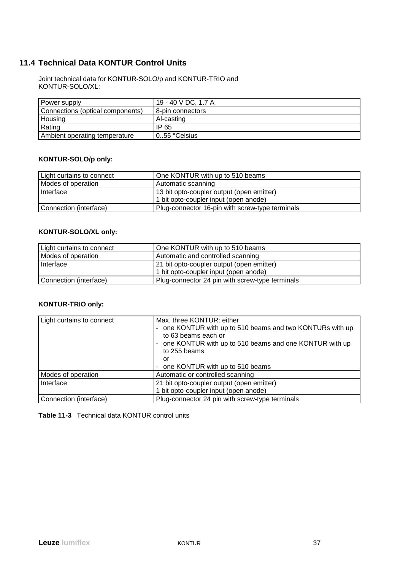## **11.4 Technical Data KONTUR Control Units**

Joint technical data for KONTUR-SOLO/p and KONTUR-TRIO and KONTUR-SOLO/XL:

| Power supply                     | 19 - 40 V DC, 1.7 A |
|----------------------------------|---------------------|
| Connections (optical components) | 8-pin connectors    |
| Housing                          | Al-casting          |
| Rating                           | IP 65               |
| Ambient operating temperature    | 055 °Celsius        |

#### **KONTUR-SOLO/p only:**

| Light curtains to connect | One KONTUR with up to 510 beams                 |
|---------------------------|-------------------------------------------------|
| Modes of operation        | Automatic scanning                              |
| I Interface               | 13 bit opto-coupler output (open emitter)       |
|                           | 1 bit opto-coupler input (open anode)           |
| Connection (interface)    | Plug-connector 16-pin with screw-type terminals |

### **KONTUR-SOLO/XL only:**

| <b>Light curtains to connect</b> | One KONTUR with up to 510 beams                 |
|----------------------------------|-------------------------------------------------|
| Modes of operation               | Automatic and controlled scanning               |
| l Interface                      | 21 bit opto-coupler output (open emitter)       |
|                                  | 1 bit opto-coupler input (open anode)           |
| Connection (interface)           | Plug-connector 24 pin with screw-type terminals |

### **KONTUR-TRIO only:**

| Light curtains to connect | Max, three KONTUR: either<br>one KONTUR with up to 510 beams and two KONTURs with up<br>۰<br>to 63 beams each or<br>one KONTUR with up to 510 beams and one KONTUR with up<br>-<br>to 255 beams<br>or<br>one KONTUR with up to 510 beams<br>۰ |
|---------------------------|-----------------------------------------------------------------------------------------------------------------------------------------------------------------------------------------------------------------------------------------------|
| Modes of operation        | Automatic or controlled scanning                                                                                                                                                                                                              |
| Interface                 | 21 bit opto-coupler output (open emitter)<br>1 bit opto-coupler input (open anode)                                                                                                                                                            |
| Connection (interface)    | Plug-connector 24 pin with screw-type terminals                                                                                                                                                                                               |

### **Table 11-3** Technical data KONTUR control units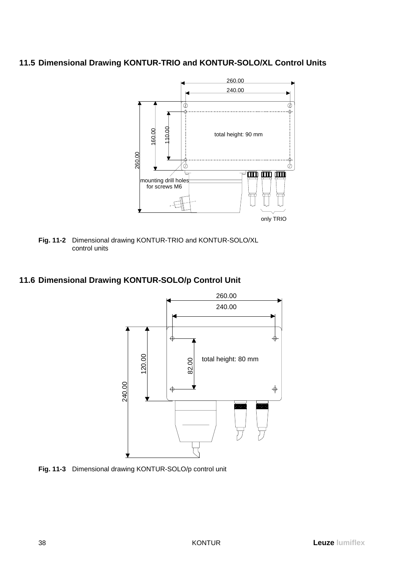## **11.5 Dimensional Drawing KONTUR-TRIO and KONTUR-SOLO/XL Control Units**



**Fig. 11-2** Dimensional drawing KONTUR-TRIO and KONTUR-SOLO/XL control units

## **11.6 Dimensional Drawing KONTUR-SOLO/p Control Unit**



**Fig. 11-3** Dimensional drawing KONTUR-SOLO/p control unit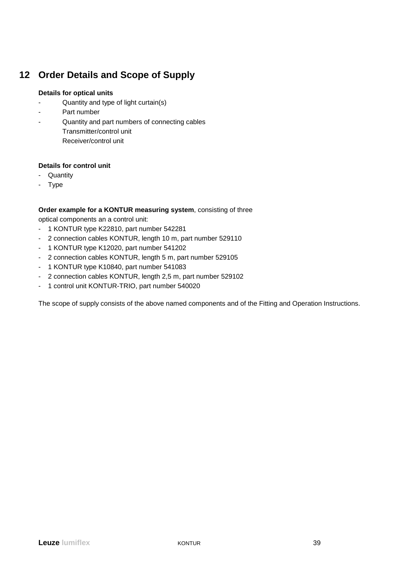## **12 Order Details and Scope of Supply**

### **Details for optical units**

- Quantity and type of light curtain(s)
- Part number
- Quantity and part numbers of connecting cables Transmitter/control unit Receiver/control unit

### **Details for control unit**

- Quantity
- Type

### **Order example for a KONTUR measuring system**, consisting of three

optical components an a control unit:

- 1 KONTUR type K22810, part number 542281
- 2 connection cables KONTUR, length 10 m, part number 529110
- 1 KONTUR type K12020, part number 541202
- 2 connection cables KONTUR, length 5 m, part number 529105
- 1 KONTUR type K10840, part number 541083
- 2 connection cables KONTUR, length 2,5 m, part number 529102
- 1 control unit KONTUR-TRIO, part number 540020

The scope of supply consists of the above named components and of the Fitting and Operation Instructions.